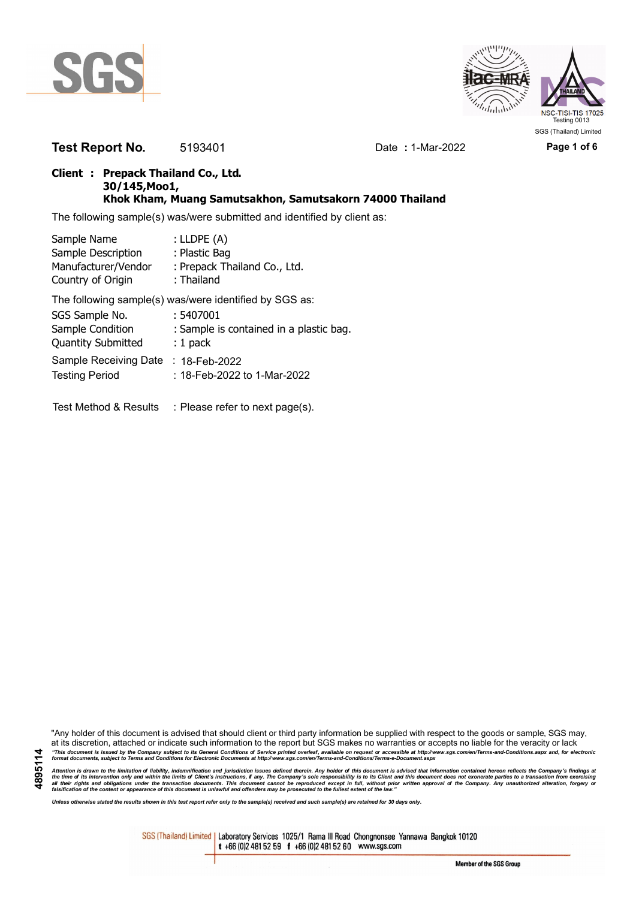



**Test Report No.** 5193401 Date **:** 1-Mar-2022 **Page 1 of 6**

## **Client : Prepack Thailand Co., Ltd. 30/145,Moo1, Khok Kham, Muang Samutsakhon, Samutsakorn 74000 Thailand**

The following sample(s) was/were submitted and identified by client as:

| Sample Name               | : LLDPE $(A)$                                          |
|---------------------------|--------------------------------------------------------|
| Sample Description        | : Plastic Bag                                          |
| Manufacturer/Vendor       | : Prepack Thailand Co., Ltd.                           |
| Country of Origin         | : Thailand                                             |
|                           | The following sample(s) was/were identified by SGS as: |
| SGS Sample No.            | : 5407001                                              |
| Sample Condition          | : Sample is contained in a plastic bag.                |
| <b>Quantity Submitted</b> | $: 1$ pack                                             |
| Sample Receiving Date     | : 18-Feb-2022                                          |
| <b>Testing Period</b>     | : 18-Feb-2022 to 1-Mar-2022                            |
|                           |                                                        |

Test Method & Results : Please refer to next page(s).

"Any holder of this document is advised that should client or third party information be supplied with respect to the goods or sample, SGS may, at its discretion, attached or indicate such information to the report but SGS makes no warranties or accepts no liable for the veracity or lack "This document is issued by the Company subject to its General Conditions of Service printed overleaf, available on request or accessible at http://www.sgs.com/en/Terms-and-Conditions.aspx and, for electronic<br>format docume

Attention is drawn to the limitation of liability, indemnification and jurisdiction issues defined therein. Any holder of this document is advised that information contained hereon reflects the Company's findings at<br>all th

*Unless otherwise stated the results shown in this test report refer only to the sample(s) received and such sample(s) are retained for 30 days only.*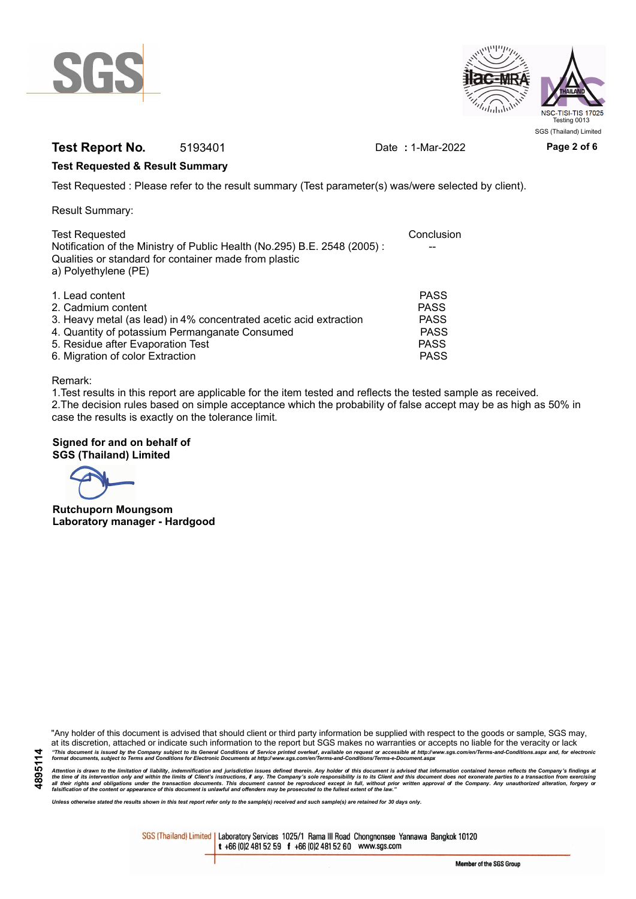



# **Test Report No.** 5193401 Date **:** 1-Mar-2022 **Page 2 of 6**

### **Test Requested & Result Summary**

Test Requested : Please refer to the result summary (Test parameter(s) was/were selected by client).

Result Summary:

| <b>Test Requested</b>                                                                                                                                     | Conclusion  |
|-----------------------------------------------------------------------------------------------------------------------------------------------------------|-------------|
| Notification of the Ministry of Public Health (No.295) B.E. 2548 (2005):<br>Qualities or standard for container made from plastic<br>a) Polyethylene (PE) |             |
|                                                                                                                                                           |             |
| 1. Lead content                                                                                                                                           | <b>PASS</b> |
| 2. Cadmium content                                                                                                                                        | <b>PASS</b> |
| 3. Heavy metal (as lead) in 4% concentrated acetic acid extraction                                                                                        | <b>PASS</b> |
| 4. Quantity of potassium Permanganate Consumed                                                                                                            | <b>PASS</b> |
| 5. Residue after Evaporation Test                                                                                                                         | <b>PASS</b> |
| 6. Migration of color Extraction                                                                                                                          | <b>PASS</b> |

#### Remark:

1.Test results in this report are applicable for the item tested and reflects the tested sample as received. 2.The decision rules based on simple acceptance which the probability of false accept may be as high as 50% in case the results is exactly on the tolerance limit.

### **Signed for and on behalf of SGS (Thailand) Limited**

**Rutchuporn Moungsom Laboratory manager - Hardgood**

"Any holder of this document is advised that should client or third party information be supplied with respect to the goods or sample, SGS may, at its discretion, attached or indicate such information to the report but SGS makes no warranties or accepts no liable for the veracity or lack "This document is issued by the Company subject to its General Conditions of Service printed overleaf, available on request or accessible at http://www.sgs.com/en/Terms-and-Conditions.aspx and, for electronic<br>format docume

Attention is drawn to the limitation of liability, indemnification and jurisdiction issues defined therein. Any holder of this document is advised that information contained hereon reflects the Company's findings at<br>all th

*Unless otherwise stated the results shown in this test report refer only to the sample(s) received and such sample(s) are retained for 30 days only.*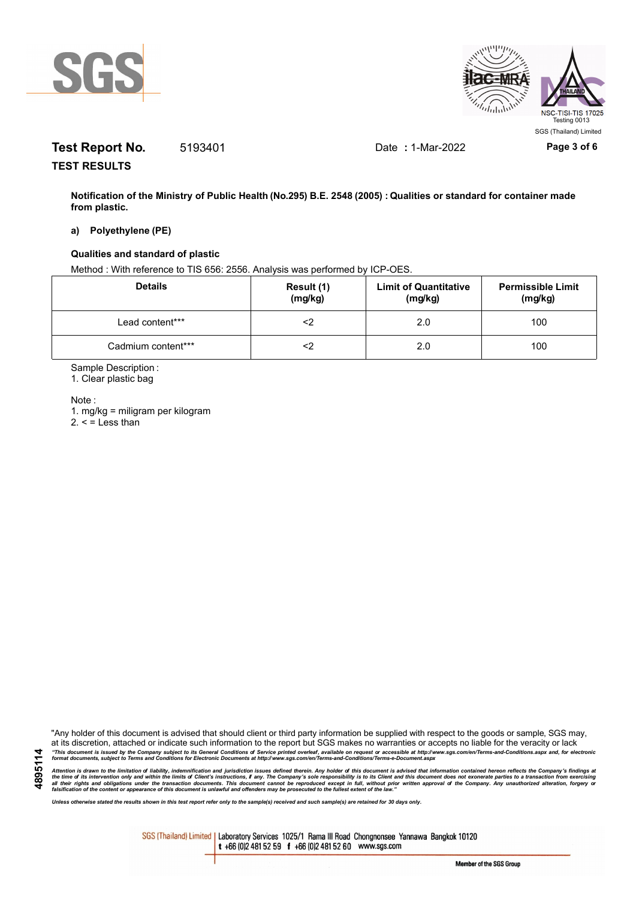



# **Test Report No.** 5193401 Date **:** 1-Mar-2022 **Page 3 of 6**

**TEST RESULTS**

**Notification of the Ministry of Public Health (No.295) B.E. 2548 (2005) : Qualities or standard for container made from plastic.**

### **a) Polyethylene (PE)**

#### **Qualities and standard of plastic**

Method : With reference to TIS 656: 2556. Analysis was performed by ICP-OES.

| <b>Details</b>     | Result (1)<br>(mg/kg) | <b>Limit of Quantitative</b><br>(mg/kg) | <b>Permissible Limit</b><br>(mg/kg) |
|--------------------|-----------------------|-----------------------------------------|-------------------------------------|
| Lead content***    |                       | 2.0                                     | 100                                 |
| Cadmium content*** |                       | 2.0                                     | 100                                 |

Sample Description :

1. Clear plastic bag

Note :

**4895114**

1. mg/kg = miligram per kilogram  $2. <$  = Less than

"Any holder of this document is advised that should client or third party information be supplied with respect to the goods or sample, SGS may, at its discretion, attached or indicate such information to the report but SGS makes no warranties or accepts no liable for the veracity or lack "This document is issued by the Company subject to its General Conditions of Service printed overleaf, available on request or accessible at http://www.sgs.com/en/Terms-and-Conditions.aspx and, for electronic<br>format docume

Attention is drawn to the limitation of liability, indemnification and jurisdiction issues defined therein. Any holder of this document is advised that information contained hereon reflects the Company's findings at<br>all th

*Unless otherwise stated the results shown in this test report refer only to the sample(s) received and such sample(s) are retained for 30 days only.*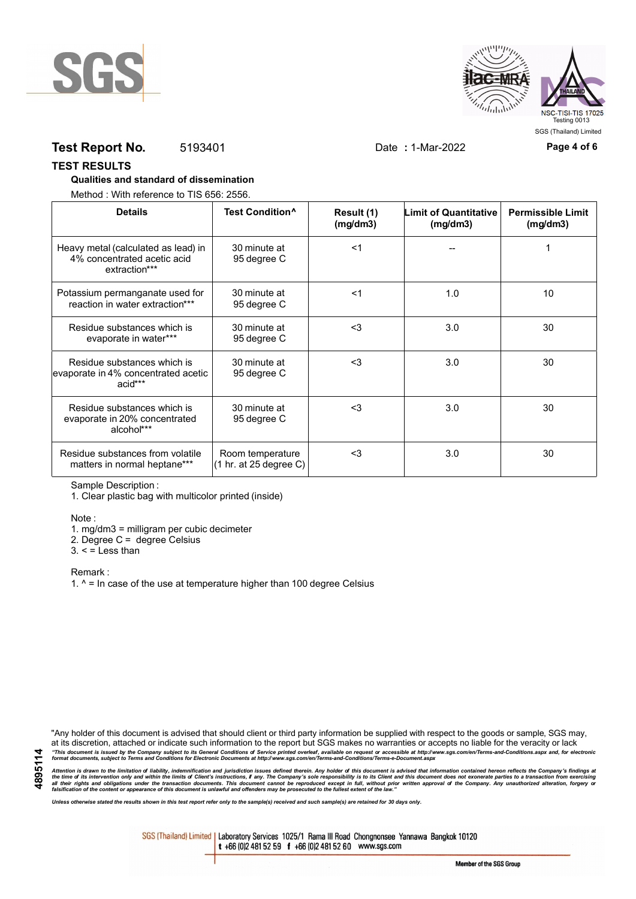



# **Test Report No.** 5193401 Date **:** 1-Mar-2022 **Page 4 of 6**

#### **TEST RESULTS**

### **Qualities and standard of dissemination**

Method : With reference to TIS 656: 2556.

| <b>Details</b>                                                                      | Test Condition <sup>^</sup>                                   | Result (1)<br>(mg/dm3) | <b>Limit of Quantitative</b><br>(mg/dm3) | <b>Permissible Limit</b><br>(mg/dm3) |
|-------------------------------------------------------------------------------------|---------------------------------------------------------------|------------------------|------------------------------------------|--------------------------------------|
| Heavy metal (calculated as lead) in<br>4% concentrated acetic acid<br>extraction*** | 30 minute at<br>95 degree C                                   | <1                     |                                          |                                      |
| Potassium permanganate used for<br>reaction in water extraction***                  | 30 minute at<br>95 degree C                                   | $<$ 1                  | 1.0                                      | 10                                   |
| Residue substances which is<br>evaporate in water***                                | 30 minute at<br>95 degree C                                   | $3$                    | 3.0                                      | 30                                   |
| Residue substances which is<br>evaporate in 4% concentrated acetic<br>acid***       | 30 minute at<br>95 degree C                                   | $<$ 3                  | 3.0                                      | 30                                   |
| Residue substances which is<br>evaporate in 20% concentrated<br>alcohol***          | 30 minute at<br>95 degree C                                   | $3$                    | 3.0                                      | 30                                   |
| Residue substances from volatile<br>matters in normal heptane***                    | Room temperature<br>$(1 \text{ hr. at } 25 \text{ degree C})$ | $3$                    | 3.0                                      | 30                                   |

Sample Description :

1. Clear plastic bag with multicolor printed (inside)

Note :

1. mg/dm3 = milligram per cubic decimeter

2. Degree C = degree Celsius

 $3. <$  = Less than

Remark :

1.  $^{\circ}$  = In case of the use at temperature higher than 100 degree Celsius

"Any holder of this document is advised that should client or third party information be supplied with respect to the goods or sample, SGS may, at its discretion, attached or indicate such information to the report but SGS makes no warranties or accepts no liable for the veracity or lack "This document is issued by the Company subject to its General Conditions of Service printed overleaf, available on request or accessible at http://www.sgs.com/en/Terms-and-Conditions.aspx and, for electronic<br>format docume

Attention is drawn to the limitation of liability, indemnification and jurisdiction issues defined therein. Any holder of this document is advised that information contained hereon reflects the Company's findings at<br>all th

*Unless otherwise stated the results shown in this test report refer only to the sample(s) received and such sample(s) are retained for 30 days only.*

SGS (Thailand) Limited | Laboratory Services 1025/1 Rama III Road Chongnonsee Yannawa Bangkok 10120 t +66 (0)2 481 52 59 f +66 (0)2 481 52 60 www.sgs.com

Member of the SGS Group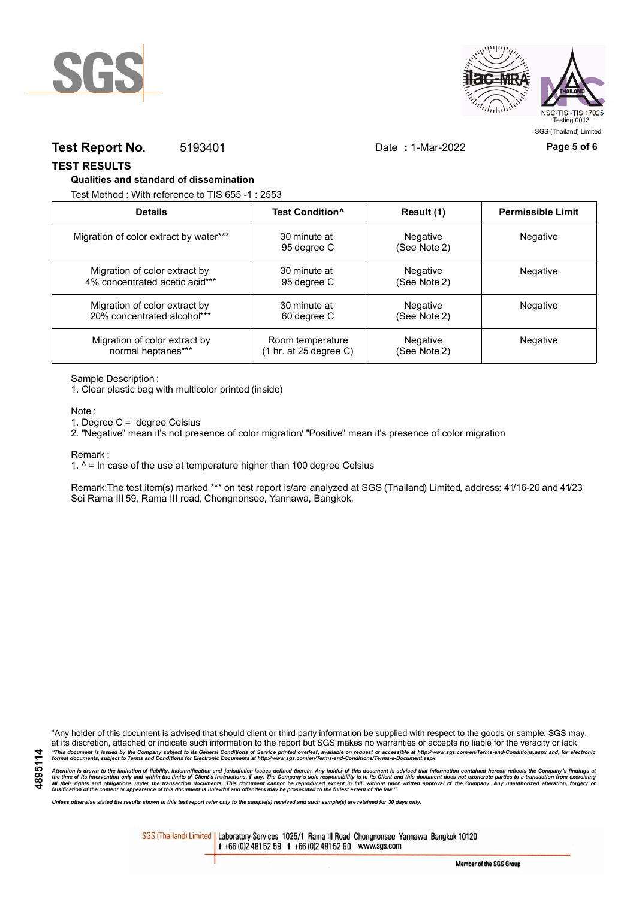



## **Test Report No.** 5193401 Date **:** 1-Mar-2022 **Page 5 of 6**

SGS (Thailand) Limited

**TEST RESULTS**

#### **Qualities and standard of dissemination**

Test Method : With reference to TIS 655 -1 : 2553

| <b>Details</b>                         | Test Condition <sup>^</sup> | Result (1)               | <b>Permissible Limit</b> |
|----------------------------------------|-----------------------------|--------------------------|--------------------------|
| Migration of color extract by water*** | 30 minute at<br>95 degree C | Negative<br>(See Note 2) | Negative                 |
| Migration of color extract by          | 30 minute at                | Negative                 | <b>Negative</b>          |
| 4% concentrated acetic acid***         | 95 degree C                 | (See Note 2)             |                          |
| Migration of color extract by          | 30 minute at                | Negative                 | Negative                 |
| 20% concentrated alcohol***            | 60 degree C                 | (See Note 2)             |                          |
| Migration of color extract by          | Room temperature            | Negative                 | Negative                 |
| normal heptanes***                     | (1 hr. at 25 degree C)      | (See Note 2)             |                          |

Sample Description :

1. Clear plastic bag with multicolor printed (inside)

Note :

1. Degree C = degree Celsius

2. "Negative" mean it's not presence of color migration/ "Positive" mean it's presence of color migration

Remark :

1.  $^{\circ}$  = In case of the use at temperature higher than 100 degree Celsius

Remark:The test item(s) marked \*\*\* on test report is/are analyzed at SGS (Thailand) Limited, address: 41/16-20 and 41/23 Soi Rama III 59, Rama III road, Chongnonsee, Yannawa, Bangkok.

**4895114**

"Any holder of this document is advised that should client or third party information be supplied with respect to the goods or sample, SGS may, at its discretion, attached or indicate such information to the report but SGS makes no warranties or accepts no liable for the veracity or lack "This document is issued by the Company subject to its General Conditions of Service printed overleaf, available on request or accessible at http://www.sgs.com/en/Terms-and-Conditions.aspx and, for electronic<br>format docume

Attention is drawn to the limitation of liability, indemnification and jurisdiction issues defined therein. Any holder of this document is advised that information contained hereon reflects the Company's findings at<br>all th

*Unless otherwise stated the results shown in this test report refer only to the sample(s) received and such sample(s) are retained for 30 days only.*